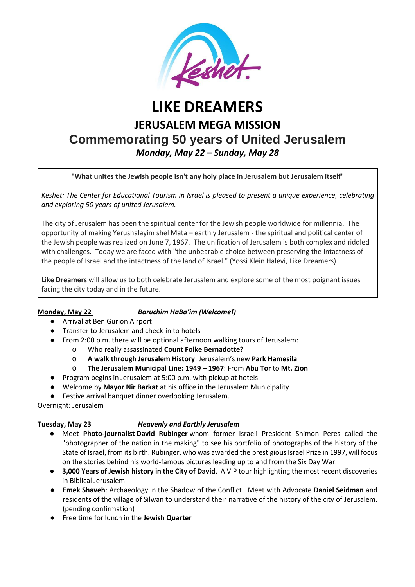

# **LIKE DREAMERS JERUSALEM MEGA MISSION Commemorating 50 years of United Jerusalem** *Monday, May 22 – Sunday, May 28*

**"What unites the Jewish people isn't any holy place in Jerusalem but Jerusalem itself"**

*Keshet: The Center for Educational Tourism in Israel is pleased to present a unique experience, celebrating and exploring 50 years of united Jerusalem.*

The city of Jerusalem has been the spiritual center for the Jewish people worldwide for millennia. The opportunity of making Yerushalayim shel Mata – earthly Jerusalem - the spiritual and political center of the Jewish people was realized on June 7, 1967. The unification of Jerusalem is both complex and riddled with challenges. Today we are faced with "the unbearable choice between preserving the intactness of the people of Israel and the intactness of the land of Israel." (Yossi Klein Halevi, Like Dreamers)

**Like Dreamers** will allow us to both celebrate Jerusalem and explore some of the most poignant issues facing the city today and in the future.

### **Monday, May 22** *Baruchim HaBa'im (Welcome!)*

- Arrival at Ben Gurion Airport
- Transfer to Jerusalem and check-in to hotels
- From 2:00 p.m. there will be optional afternoon walking tours of Jerusalem:
	- o Who really assassinated **Count Folke Bernadotte?**
	- o **A walk through Jerusalem History**: Jerusalem's new **Park Hamesila**
	- o **The Jerusalem Municipal Line: 1949 – 1967**: From **Abu Tor** to **Mt. Zion**
- Program begins in Jerusalem at 5:00 p.m. with pickup at hotels
- Welcome by **Mayor Nir Barkat** at his office in the Jerusalem Municipality
- Festive arrival banquet dinner overlooking Jerusalem.

Overnight: Jerusalem

### **Tuesday, May 23** *Heavenly and Earthly Jerusalem*

- Meet **Photo-journalist David Rubinger** whom former Israeli President Shimon Peres called the "photographer of the nation in the making" to see his portfolio of photographs of the history of the State of Israel, from its birth. Rubinger, who was awarded the prestigious Israel Prize in 1997, will focus on the stories behind his world-famous pictures leading up to and from the Six Day War.
- **3,000 Years of Jewish history in the City of David**. A VIP tour highlighting the most recent discoveries in Biblical Jerusalem
- **Emek Shaveh**: Archaeology in the Shadow of the Conflict. Meet with Advocate **Daniel Seidman** and residents of the village of Silwan to understand their narrative of the history of the city of Jerusalem. (pending confirmation)
- Free time for lunch in the **Jewish Quarter**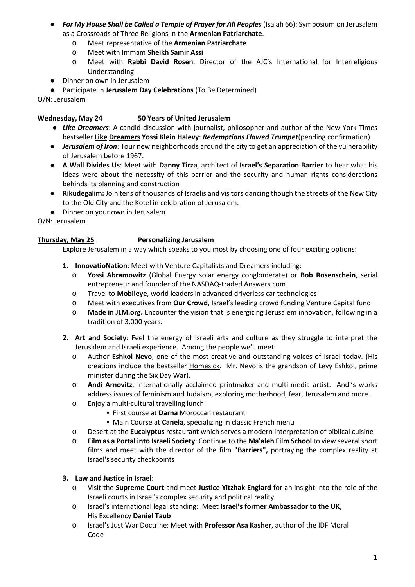- *For My House Shall be Called a Temple of Prayer for All Peoples* (Isaiah 66): Symposium on Jerusalem as a Crossroads of Three Religions in the **Armenian Patriarchate**.
	- o Meet representative of the **Armenian Patriarchate**
	- o Meet with Immam **Sheikh Samir Assi**
	- o Meet with **Rabbi David Rosen**, Director of the AJC's International for Interreligious Understandin[g](http://www.ajc.org/site/c.7oJILSPwFfJSG/b.8467215/k.4B1C/The_Harriet_and_Robert_Heilbrunn_Institute_for_International_Interreligious_Affairs.htm)
- Dinner on own in Jerusalem
- Participate in **Jerusalem Day Celebrations** (To Be Determined)

O/N: Jerusalem

### **Wednesday, May 24 50 Years of United Jerusalem**

- *Like Dreamers*: A candid discussion with journalist, philosopher and author of the New York Times bestseller **Like Dreamers Yossi Klein Halevy**: *Redemptions Flawed Trumpet*(pending confirmation)
- *Jerusalem of Iron*: Tour new neighborhoods around the city to get an appreciation of the vulnerability of Jerusalem before 1967.
- **A Wall Divides Us**: Meet with **Danny Tirza**, architect of **Israel's Separation Barrier** to hear what his ideas were about the necessity of this barrier and the security and human rights considerations behinds its planning and construction
- **Rikudegalim:** Join tens of thousands of Israelis and visitors dancing though the streets of the New City to the Old City and the Kotel in celebration of Jerusalem.
- Dinner on your own in Jerusalem

O/N: Jerusalem

### **Thursday, May 25 Personalizing Jerusalem**

Explore Jerusalem in a way which speaks to you most by choosing one of four exciting options:

- **1. InnovatioNation**: Meet with Venture Capitalists and Dreamers including:
	- o **Yossi Abramowitz** (Global Energy solar energy conglomerate) or **Bob Rosenschein**, serial entrepreneur and founder of the NASDAQ-traded Answers.com
	- o Travel to **Mobileye**, world leaders in advanced driverless car technologies
	- o Meet with executives from **Our Crowd**, Israel's leading crowd funding Venture Capital fund
	- o **Made in JLM.org.** Encounter the vision that is energizing Jerusalem innovation, following in a tradition of 3,000 years.
- **2. Art and Society**: Feel the energy of Israeli arts and culture as they struggle to interpret the Jerusalem and Israeli experience. Among the people we'll meet:
	- o Author **Eshkol Nevo**, one of the most creative and outstanding voices of Israel today. (His creations include the bestseller Homesick. Mr. Nevo is the grandson of Levy Eshkol, prime minister during the Six Day War).
	- o **Andi Arnovitz**, internationally acclaimed printmaker and multi-media artist. Andi's works address issues of feminism and Judaism, exploring motherhood, fear, Jerusalem and more.
	- o Enjoy a multi-cultural travelling lunch:
		- First course at **Darna** Moroccan restaurant
		- **Main Course at Canela**, specializing in classic French menu
	- o Desert at the **Eucalyptus** restaurant which serves a modern interpretation of biblical cuisine
	- o **Film as a Portal into Israeli Society**: Continue to the **Ma'aleh Film School** to view several short films and meet with the director of the film **"Barriers",** portraying the complex reality at Israel's security checkpoints

### **3. Law and Justice in Israel**:

- o Visit the **Supreme Court** and meet **Justice Yitzhak Englard** for an insight into the role of the Israeli courts in Israel's complex security and political reality.
- o Israel's international legal standing: Meet **Israel's former Ambassador to the UK**, His Excellency **Daniel Taub**
- o Israel's Just War Doctrine: Meet with **Professor Asa Kasher**, author of the IDF Moral Code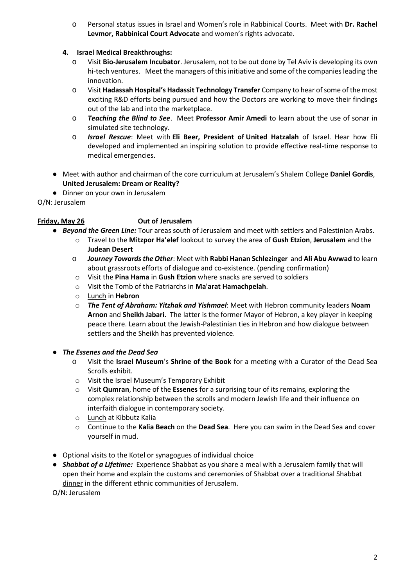o Personal status issues in Israel and Women's role in Rabbinical Courts. Meet with **Dr. Rachel Levmor, Rabbinical Court Advocate** and women's rights advocate.

### **4. Israel Medical Breakthroughs:**

- o Visit **Bio-Jerusalem Incubator**. Jerusalem, not to be out done by Tel Aviv is developing its own hi-tech ventures. Meet the managers of this initiative and some of the companies leading the innovation.
- o Visit **Hadassah Hospital's Hadassit Technology Transfer** Company to hear of some of the most exciting R&D efforts being pursued and how the Doctors are working to move their findings out of the lab and into the marketplace.
- o *Teaching the Blind to See*. Meet **Professor Amir Amedi** to learn about the use of sonar in simulated site technology.
- o *Israel Rescue*: Meet with **Eli Beer, President of United Hatzalah** of Israel. Hear how Eli developed and implemented an inspiring solution to provide effective real-time response to medical emergencies.
- Meet with author and chairman of the core curriculum at Jerusalem's Shalem College **Daniel Gordis**, **United Jerusalem: Dream or Reality?**
- Dinner on your own in Jerusalem

O/N: Jerusalem

## **Friday, May 26 Out of Jerusalem**

- *Beyond the Green Line:* Tour areas south of Jerusalem and meet with settlers and Palestinian Arabs.
	- o Travel to the **Mitzpor Ha'elef** lookout to survey the area of **Gush Etzion**, **Jerusalem** and the **Judean Desert**
	- o *Journey Towards the Other*: Meet with **Rabbi Hanan Schlezinger** and **Ali Abu Awwad** to learn about grassroots efforts of dialogue and co-existence. (pending confirmation)
	- o Visit the **Pina Hama** in **Gush Etzion** where snacks are served to soldiers
	- o Visit the Tomb of the Patriarchs in **Ma'arat Hamachpelah**.
	- o Lunch in **Hebron**
	- o *The Tent of Abraham: Yitzhak and Yishmael*: Meet with Hebron community leaders **Noam Arnon** and **Sheikh Jabari**. The latter is the former Mayor of Hebron, a key player in keeping peace there. Learn about the Jewish-Palestinian ties in Hebron and how dialogue between settlers and the Sheikh has prevented violence.
- *The Essenes and the Dead Sea*
	- o Visit the **Israel Museum**'s **Shrine of the Book** for a meeting with a Curator of the Dead Sea Scrolls exhibit.
	- o Visit the Israel Museum's Temporary Exhibit
	- o Visit **Qumran**, home of the **Essenes** for a surprising tour of its remains, exploring the complex relationship between the scrolls and modern Jewish life and their influence on interfaith dialogue in contemporary society.
	- o Lunch at Kibbutz Kalia
	- o Continue to the **Kalia Beach** on the **Dead Sea**. Here you can swim in the Dead Sea and cover yourself in mud.
- Optional visits to the Kotel or synagogues of individual choice
- *Shabbat of a Lifetime:* Experience Shabbat as you share a meal with a Jerusalem family that will open their home and explain the customs and ceremonies of Shabbat over a traditional Shabbat dinner in the different ethnic communities of Jerusalem.

O/N: Jerusalem